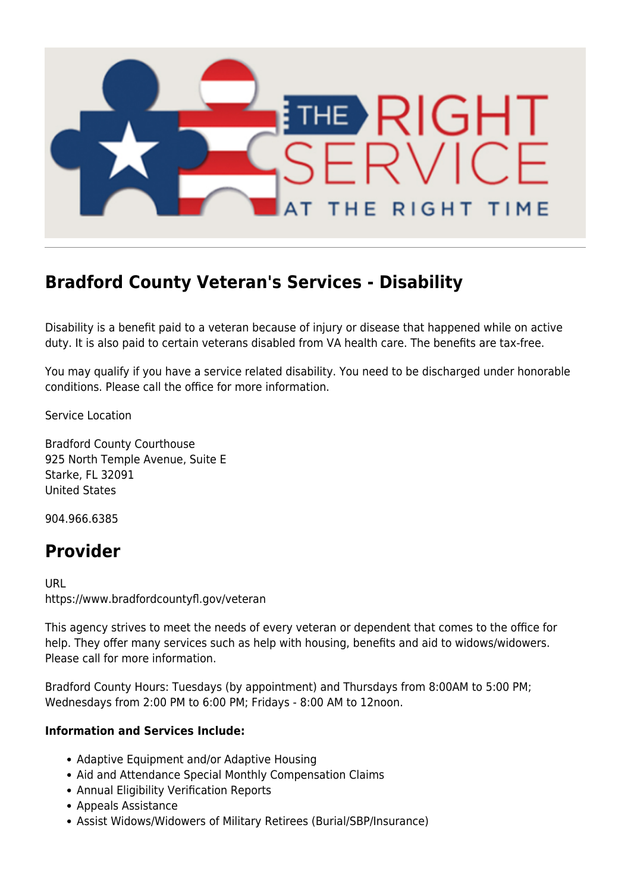

## **Bradford County Veteran's Services - Disability**

Disability is a benefit paid to a veteran because of injury or disease that happened while on active duty. It is also paid to certain veterans disabled from VA health care. The benefits are tax-free.

You may qualify if you have a service related disability. You need to be discharged under honorable conditions. Please call the office for more information.

Service Location

Bradford County Courthouse 925 North Temple Avenue, Suite E Starke, FL 32091 United States

904.966.6385

## **Provider**

URL https://www.bradfordcountyfl.gov/veteran

This agency strives to meet the needs of every veteran or dependent that comes to the office for help. They offer many services such as help with housing, benefits and aid to widows/widowers. Please call for more information.

Bradford County Hours: Tuesdays (by appointment) and Thursdays from 8:00AM to 5:00 PM; Wednesdays from 2:00 PM to 6:00 PM; Fridays - 8:00 AM to 12noon.

## **Information and Services Include:**

- Adaptive Equipment and/or Adaptive Housing
- Aid and Attendance Special Monthly Compensation Claims
- Annual Eligibility Verification Reports
- Appeals Assistance
- Assist Widows/Widowers of Military Retirees (Burial/SBP/Insurance)